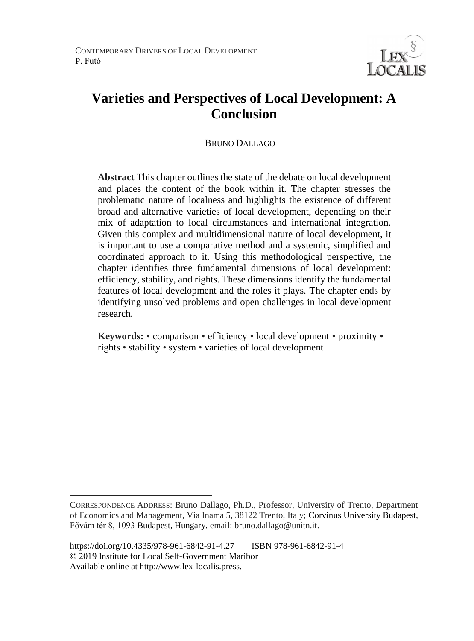

# **Varieties and Perspectives of Local Development: A Conclusion**

### BRUNO DALLAGO

**Abstract** This chapter outlines the state of the debate on local development and places the content of the book within it. The chapter stresses the problematic nature of localness and highlights the existence of different broad and alternative varieties of local development, depending on their mix of adaptation to local circumstances and international integration. Given this complex and multidimensional nature of local development, it is important to use a comparative method and a systemic, simplified and coordinated approach to it. Using this methodological perspective, the chapter identifies three fundamental dimensions of local development: efficiency, stability, and rights. These dimensions identify the fundamental features of local development and the roles it plays. The chapter ends by identifying unsolved problems and open challenges in local development research.

**Keywords:** • comparison • efficiency • local development • proximity • rights • stability • system • varieties of local development

 $\overline{a}$ 

CORRESPONDENCE ADDRESS: Bruno Dallago, Ph.D., Professor, University of Trento, Department of Economics and Management, Via Inama 5, 38122 Trento, Italy; Corvinus University Budapest, Fővám tér 8, 1093 Budapest, Hungary, email: bruno.dallago@unitn.it.

https://doi.org/10.4335/978-961-6842-91-4.27 ISBN 978-961-6842-91-4 © 2019 Institute for Local Self-Government Maribor Available online at http://www.lex-localis.press.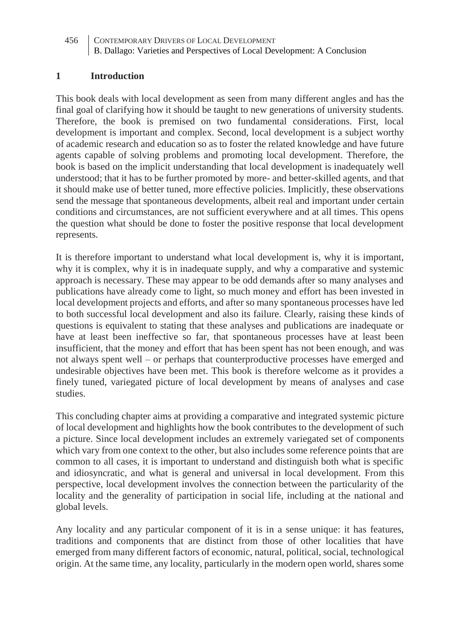#### **1 Introduction**

This book deals with local development as seen from many different angles and has the final goal of clarifying how it should be taught to new generations of university students. Therefore, the book is premised on two fundamental considerations. First, local development is important and complex. Second, local development is a subject worthy of academic research and education so as to foster the related knowledge and have future agents capable of solving problems and promoting local development. Therefore, the book is based on the implicit understanding that local development is inadequately well understood; that it has to be further promoted by more- and better-skilled agents, and that it should make use of better tuned, more effective policies. Implicitly, these observations send the message that spontaneous developments, albeit real and important under certain conditions and circumstances, are not sufficient everywhere and at all times. This opens the question what should be done to foster the positive response that local development represents.

It is therefore important to understand what local development is, why it is important, why it is complex, why it is in inadequate supply, and why a comparative and systemic approach is necessary. These may appear to be odd demands after so many analyses and publications have already come to light, so much money and effort has been invested in local development projects and efforts, and after so many spontaneous processes have led to both successful local development and also its failure. Clearly, raising these kinds of questions is equivalent to stating that these analyses and publications are inadequate or have at least been ineffective so far, that spontaneous processes have at least been insufficient, that the money and effort that has been spent has not been enough, and was not always spent well – or perhaps that counterproductive processes have emerged and undesirable objectives have been met. This book is therefore welcome as it provides a finely tuned, variegated picture of local development by means of analyses and case studies.

This concluding chapter aims at providing a comparative and integrated systemic picture of local development and highlights how the book contributes to the development of such a picture. Since local development includes an extremely variegated set of components which vary from one context to the other, but also includes some reference points that are common to all cases, it is important to understand and distinguish both what is specific and idiosyncratic, and what is general and universal in local development. From this perspective, local development involves the connection between the particularity of the locality and the generality of participation in social life, including at the national and global levels.

Any locality and any particular component of it is in a sense unique: it has features, traditions and components that are distinct from those of other localities that have emerged from many different factors of economic, natural, political, social, technological origin. At the same time, any locality, particularly in the modern open world, shares some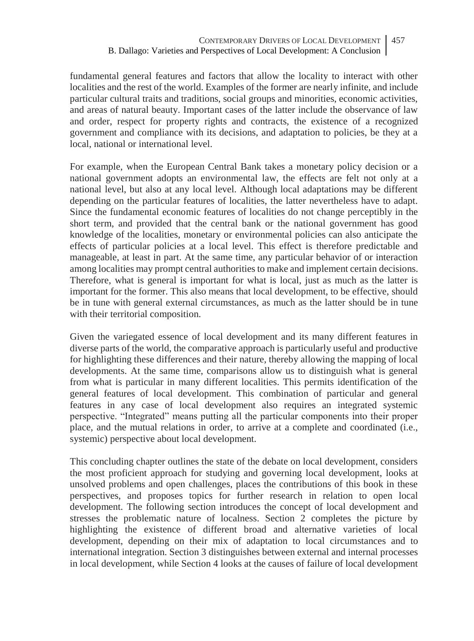fundamental general features and factors that allow the locality to interact with other localities and the rest of the world. Examples of the former are nearly infinite, and include particular cultural traits and traditions, social groups and minorities, economic activities, and areas of natural beauty. Important cases of the latter include the observance of law and order, respect for property rights and contracts, the existence of a recognized government and compliance with its decisions, and adaptation to policies, be they at a local, national or international level.

For example, when the European Central Bank takes a monetary policy decision or a national government adopts an environmental law, the effects are felt not only at a national level, but also at any local level. Although local adaptations may be different depending on the particular features of localities, the latter nevertheless have to adapt. Since the fundamental economic features of localities do not change perceptibly in the short term, and provided that the central bank or the national government has good knowledge of the localities, monetary or environmental policies can also anticipate the effects of particular policies at a local level. This effect is therefore predictable and manageable, at least in part. At the same time, any particular behavior of or interaction among localities may prompt central authorities to make and implement certain decisions. Therefore, what is general is important for what is local, just as much as the latter is important for the former. This also means that local development, to be effective, should be in tune with general external circumstances, as much as the latter should be in tune with their territorial composition.

Given the variegated essence of local development and its many different features in diverse parts of the world, the comparative approach is particularly useful and productive for highlighting these differences and their nature, thereby allowing the mapping of local developments. At the same time, comparisons allow us to distinguish what is general from what is particular in many different localities. This permits identification of the general features of local development. This combination of particular and general features in any case of local development also requires an integrated systemic perspective. "Integrated" means putting all the particular components into their proper place, and the mutual relations in order, to arrive at a complete and coordinated (i.e., systemic) perspective about local development.

This concluding chapter outlines the state of the debate on local development, considers the most proficient approach for studying and governing local development, looks at unsolved problems and open challenges, places the contributions of this book in these perspectives, and proposes topics for further research in relation to open local development. The following section introduces the concept of local development and stresses the problematic nature of localness. Section 2 completes the picture by highlighting the existence of different broad and alternative varieties of local development, depending on their mix of adaptation to local circumstances and to international integration. Section 3 distinguishes between external and internal processes in local development, while Section 4 looks at the causes of failure of local development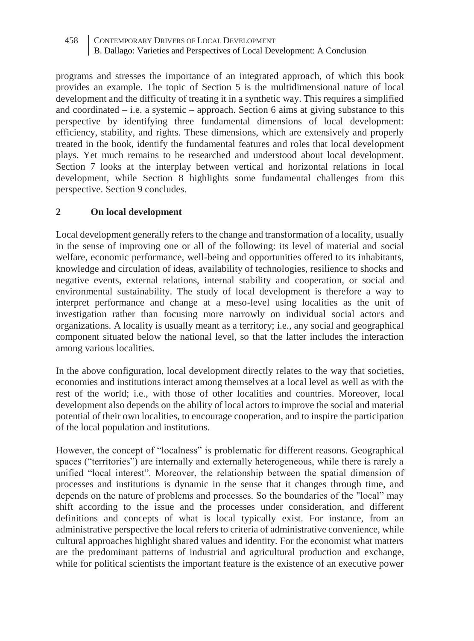programs and stresses the importance of an integrated approach, of which this book provides an example. The topic of Section 5 is the multidimensional nature of local development and the difficulty of treating it in a synthetic way. This requires a simplified and coordinated  $-$  i.e. a systemic  $-$  approach. Section 6 aims at giving substance to this perspective by identifying three fundamental dimensions of local development: efficiency, stability, and rights. These dimensions, which are extensively and properly treated in the book, identify the fundamental features and roles that local development plays. Yet much remains to be researched and understood about local development. Section 7 looks at the interplay between vertical and horizontal relations in local development, while Section 8 highlights some fundamental challenges from this perspective. Section 9 concludes.

## **2 On local development**

Local development generally refers to the change and transformation of a locality, usually in the sense of improving one or all of the following: its level of material and social welfare, economic performance, well-being and opportunities offered to its inhabitants, knowledge and circulation of ideas, availability of technologies, resilience to shocks and negative events, external relations, internal stability and cooperation, or social and environmental sustainability. The study of local development is therefore a way to interpret performance and change at a meso-level using localities as the unit of investigation rather than focusing more narrowly on individual social actors and organizations. A locality is usually meant as a territory; i.e., any social and geographical component situated below the national level, so that the latter includes the interaction among various localities.

In the above configuration, local development directly relates to the way that societies, economies and institutions interact among themselves at a local level as well as with the rest of the world; i.e., with those of other localities and countries. Moreover, local development also depends on the ability of local actors to improve the social and material potential of their own localities, to encourage cooperation, and to inspire the participation of the local population and institutions.

However, the concept of "localness" is problematic for different reasons. Geographical spaces ("territories") are internally and externally heterogeneous, while there is rarely a unified "local interest". Moreover, the relationship between the spatial dimension of processes and institutions is dynamic in the sense that it changes through time, and depends on the nature of problems and processes. So the boundaries of the "local" may shift according to the issue and the processes under consideration, and different definitions and concepts of what is local typically exist. For instance, from an administrative perspective the local refers to criteria of administrative convenience, while cultural approaches highlight shared values and identity. For the economist what matters are the predominant patterns of industrial and agricultural production and exchange, while for political scientists the important feature is the existence of an executive power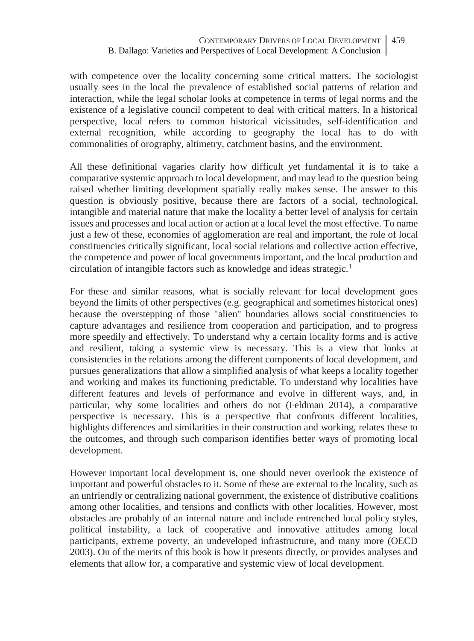with competence over the locality concerning some critical matters. The sociologist usually sees in the local the prevalence of established social patterns of relation and interaction, while the legal scholar looks at competence in terms of legal norms and the existence of a legislative council competent to deal with critical matters. In a historical perspective, local refers to common historical vicissitudes, self-identification and external recognition, while according to geography the local has to do with commonalities of orography, altimetry, catchment basins, and the environment.

All these definitional vagaries clarify how difficult yet fundamental it is to take a comparative systemic approach to local development, and may lead to the question being raised whether limiting development spatially really makes sense. The answer to this question is obviously positive, because there are factors of a social, technological, intangible and material nature that make the locality a better level of analysis for certain issues and processes and local action or action at a local level the most effective. To name just a few of these, economies of agglomeration are real and important, the role of local constituencies critically significant, local social relations and collective action effective, the competence and power of local governments important, and the local production and circulation of intangible factors such as knowledge and ideas strategic.<sup>1</sup>

For these and similar reasons, what is socially relevant for local development goes beyond the limits of other perspectives (e.g. geographical and sometimes historical ones) because the overstepping of those "alien" boundaries allows social constituencies to capture advantages and resilience from cooperation and participation, and to progress more speedily and effectively. To understand why a certain locality forms and is active and resilient, taking a systemic view is necessary. This is a view that looks at consistencies in the relations among the different components of local development, and pursues generalizations that allow a simplified analysis of what keeps a locality together and working and makes its functioning predictable. To understand why localities have different features and levels of performance and evolve in different ways, and, in particular, why some localities and others do not (Feldman 2014), a comparative perspective is necessary. This is a perspective that confronts different localities, highlights differences and similarities in their construction and working, relates these to the outcomes, and through such comparison identifies better ways of promoting local development.

However important local development is, one should never overlook the existence of important and powerful obstacles to it. Some of these are external to the locality, such as an unfriendly or centralizing national government, the existence of distributive coalitions among other localities, and tensions and conflicts with other localities. However, most obstacles are probably of an internal nature and include entrenched local policy styles, political instability, a lack of cooperative and innovative attitudes among local participants, extreme poverty, an undeveloped infrastructure, and many more (OECD 2003). On of the merits of this book is how it presents directly, or provides analyses and elements that allow for, a comparative and systemic view of local development.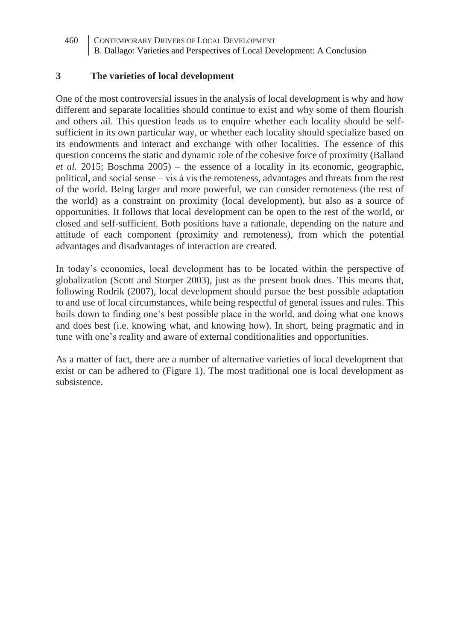#### **3 The varieties of local development**

One of the most controversial issues in the analysis of local development is why and how different and separate localities should continue to exist and why some of them flourish and others ail. This question leads us to enquire whether each locality should be selfsufficient in its own particular way, or whether each locality should specialize based on its endowments and interact and exchange with other localities. The essence of this question concerns the static and dynamic role of the cohesive force of proximity (Balland *et al.* 2015; Boschma 2005) – the essence of a locality in its economic, geographic, political, and social sense – vis á vis the remoteness, advantages and threats from the rest of the world. Being larger and more powerful, we can consider remoteness (the rest of the world) as a constraint on proximity (local development), but also as a source of opportunities. It follows that local development can be open to the rest of the world, or closed and self-sufficient. Both positions have a rationale, depending on the nature and attitude of each component (proximity and remoteness), from which the potential advantages and disadvantages of interaction are created.

In today's economies, local development has to be located within the perspective of globalization (Scott and Storper 2003), just as the present book does. This means that, following Rodrik (2007), local development should pursue the best possible adaptation to and use of local circumstances, while being respectful of general issues and rules. This boils down to finding one's best possible place in the world, and doing what one knows and does best (i.e. knowing what, and knowing how). In short, being pragmatic and in tune with one's reality and aware of external conditionalities and opportunities.

As a matter of fact, there are a number of alternative varieties of local development that exist or can be adhered to (Figure 1). The most traditional one is local development as subsistence.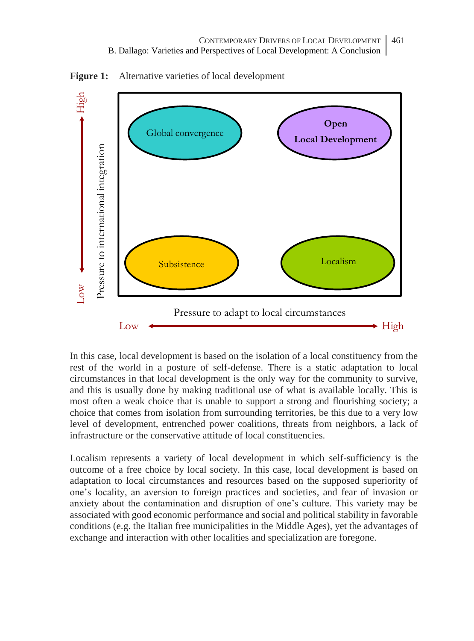High Low  $\leftarrow$  High Pressure to international integration **Open** Global convergence **Local Development**Pressure to international integration Subsistence and Localism **NO** Pressure to adapt to local circumstances  $\text{Low} \leftarrow \text{^{}}$ 

Figure 1: Alternative varieties of local development

In this case, local development is based on the isolation of a local constituency from the rest of the world in a posture of self-defense. There is a static adaptation to local circumstances in that local development is the only way for the community to survive, and this is usually done by making traditional use of what is available locally. This is most often a weak choice that is unable to support a strong and flourishing society; a choice that comes from isolation from surrounding territories, be this due to a very low level of development, entrenched power coalitions, threats from neighbors, a lack of infrastructure or the conservative attitude of local constituencies.

Localism represents a variety of local development in which self-sufficiency is the outcome of a free choice by local society. In this case, local development is based on adaptation to local circumstances and resources based on the supposed superiority of one's locality, an aversion to foreign practices and societies, and fear of invasion or anxiety about the contamination and disruption of one's culture. This variety may be associated with good economic performance and social and political stability in favorable conditions (e.g. the Italian free municipalities in the Middle Ages), yet the advantages of exchange and interaction with other localities and specialization are foregone.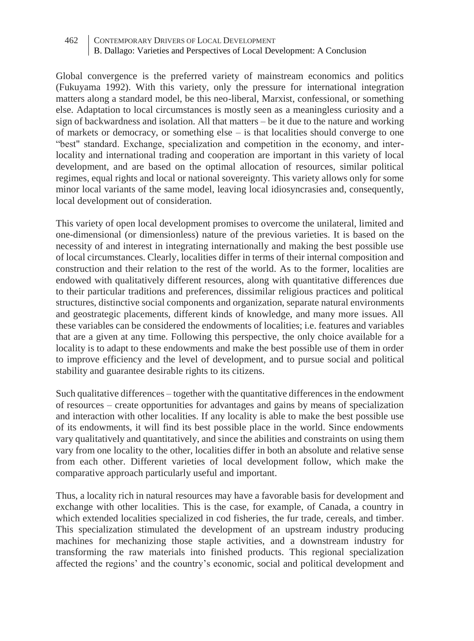Global convergence is the preferred variety of mainstream economics and politics (Fukuyama 1992). With this variety, only the pressure for international integration matters along a standard model, be this neo-liberal, Marxist, confessional, or something else. Adaptation to local circumstances is mostly seen as a meaningless curiosity and a sign of backwardness and isolation. All that matters – be it due to the nature and working of markets or democracy, or something else – is that localities should converge to one "best" standard. Exchange, specialization and competition in the economy, and interlocality and international trading and cooperation are important in this variety of local development, and are based on the optimal allocation of resources, similar political regimes, equal rights and local or national sovereignty. This variety allows only for some minor local variants of the same model, leaving local idiosyncrasies and, consequently, local development out of consideration.

This variety of open local development promises to overcome the unilateral, limited and one-dimensional (or dimensionless) nature of the previous varieties. It is based on the necessity of and interest in integrating internationally and making the best possible use of local circumstances. Clearly, localities differ in terms of their internal composition and construction and their relation to the rest of the world. As to the former, localities are endowed with qualitatively different resources, along with quantitative differences due to their particular traditions and preferences, dissimilar religious practices and political structures, distinctive social components and organization, separate natural environments and geostrategic placements, different kinds of knowledge, and many more issues. All these variables can be considered the endowments of localities; i.e. features and variables that are a given at any time. Following this perspective, the only choice available for a locality is to adapt to these endowments and make the best possible use of them in order to improve efficiency and the level of development, and to pursue social and political stability and guarantee desirable rights to its citizens.

Such qualitative differences – together with the quantitative differences in the endowment of resources – create opportunities for advantages and gains by means of specialization and interaction with other localities. If any locality is able to make the best possible use of its endowments, it will find its best possible place in the world. Since endowments vary qualitatively and quantitatively, and since the abilities and constraints on using them vary from one locality to the other, localities differ in both an absolute and relative sense from each other. Different varieties of local development follow, which make the comparative approach particularly useful and important.

Thus, a locality rich in natural resources may have a favorable basis for development and exchange with other localities. This is the case, for example, of Canada, a country in which extended localities specialized in cod fisheries, the fur trade, cereals, and timber. This specialization stimulated the development of an upstream industry producing machines for mechanizing those staple activities, and a downstream industry for transforming the raw materials into finished products. This regional specialization affected the regions' and the country's economic, social and political development and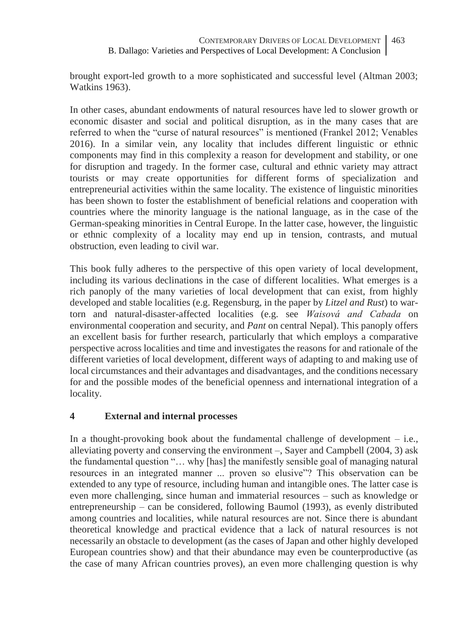brought export-led growth to a more sophisticated and successful level (Altman 2003; Watkins 1963).

In other cases, abundant endowments of natural resources have led to slower growth or economic disaster and social and political disruption, as in the many cases that are referred to when the "curse of natural resources" is mentioned (Frankel 2012; Venables 2016). In a similar vein, any locality that includes different linguistic or ethnic components may find in this complexity a reason for development and stability, or one for disruption and tragedy. In the former case, cultural and ethnic variety may attract tourists or may create opportunities for different forms of specialization and entrepreneurial activities within the same locality. The existence of linguistic minorities has been shown to foster the establishment of beneficial relations and cooperation with countries where the minority language is the national language, as in the case of the German-speaking minorities in Central Europe. In the latter case, however, the linguistic or ethnic complexity of a locality may end up in tension, contrasts, and mutual obstruction, even leading to civil war.

This book fully adheres to the perspective of this open variety of local development, including its various declinations in the case of different localities. What emerges is a rich panoply of the many varieties of local development that can exist, from highly developed and stable localities (e.g. Regensburg, in the paper by *Litzel and Rust*) to wartorn and natural-disaster-affected localities (e.g. see *Waisová and Cabada* on environmental cooperation and security, and *Pant* on central Nepal). This panoply offers an excellent basis for further research, particularly that which employs a comparative perspective across localities and time and investigates the reasons for and rationale of the different varieties of local development, different ways of adapting to and making use of local circumstances and their advantages and disadvantages, and the conditions necessary for and the possible modes of the beneficial openness and international integration of a locality.

# **4 External and internal processes**

In a thought-provoking book about the fundamental challenge of development  $-$  i.e., alleviating poverty and conserving the environment –, Sayer and Campbell (2004, 3) ask the fundamental question "… why [has] the manifestly sensible goal of managing natural resources in an integrated manner ... proven so elusive"? This observation can be extended to any type of resource, including human and intangible ones. The latter case is even more challenging, since human and immaterial resources – such as knowledge or entrepreneurship – can be considered, following Baumol (1993), as evenly distributed among countries and localities, while natural resources are not. Since there is abundant theoretical knowledge and practical evidence that a lack of natural resources is not necessarily an obstacle to development (as the cases of Japan and other highly developed European countries show) and that their abundance may even be counterproductive (as the case of many African countries proves), an even more challenging question is why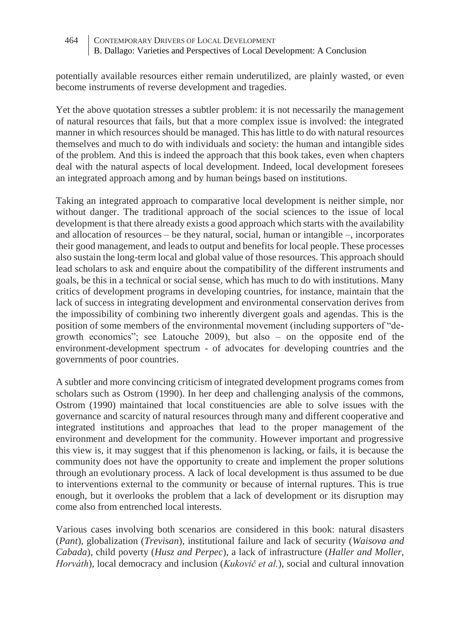potentially available resources either remain underutilized, are plainly wasted, or even become instruments of reverse development and tragedies.

Yet the above quotation stresses a subtler problem: it is not necessarily the management of natural resources that fails, but that a more complex issue is involved: the integrated manner in which resources should be managed. This has little to do with natural resources themselves and much to do with individuals and society: the human and intangible sides of the problem. And this is indeed the approach that this book takes, even when chapters deal with the natural aspects of local development. Indeed, local development foresees an integrated approach among and by human beings based on institutions.

Taking an integrated approach to comparative local development is neither simple, nor without danger. The traditional approach of the social sciences to the issue of local development is that there already exists a good approach which starts with the availability and allocation of resources – be they natural, social, human or intangible –, incorporates their good management, and leads to output and benefits for local people. These processes also sustain the long-term local and global value of those resources. This approach should lead scholars to ask and enquire about the compatibility of the different instruments and goals, be this in a technical or social sense, which has much to do with institutions. Many critics of development programs in developing countries, for instance, maintain that the lack of success in integrating development and environmental conservation derives from the impossibility of combining two inherently divergent goals and agendas. This is the position of some members of the environmental movement (including supporters of "degrowth economics"; see Latouche 2009), but also – on the opposite end of the environment-development spectrum - of advocates for developing countries and the governments of poor countries.

A subtler and more convincing criticism of integrated development programs comes from scholars such as Ostrom (1990). In her deep and challenging analysis of the commons, Ostrom (1990) maintained that local constituencies are able to solve issues with the governance and scarcity of natural resources through many and different cooperative and integrated institutions and approaches that lead to the proper management of the environment and development for the community. However important and progressive this view is, it may suggest that if this phenomenon is lacking, or fails, it is because the community does not have the opportunity to create and implement the proper solutions through an evolutionary process. A lack of local development is thus assumed to be due to interventions external to the community or because of internal ruptures. This is true enough, but it overlooks the problem that a lack of development or its disruption may come also from entrenched local interests.

Various cases involving both scenarios are considered in this book: natural disasters (*Pant*), globalization (*Trevisan*), institutional failure and lack of security (*Waisova and Cabada*), child poverty (*Husz and Perpec*), a lack of infrastructure (*Haller and Moller, Horváth*), local democracy and inclusion (*Kukovič et al.*), social and cultural innovation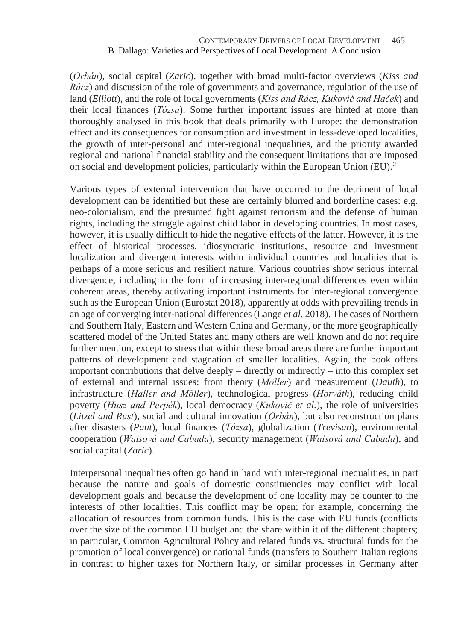(*Orbán*), social capital (*Zaric*), together with broad multi-factor overviews (*Kiss and Rácz*) and discussion of the role of governments and governance, regulation of the use of land (*Elliott*), and the role of local governments (*Kiss and Rácz, Kukovič and Haček*) and their local finances (*Tózsa*). Some further important issues are hinted at more than thoroughly analysed in this book that deals primarily with Europe: the demonstration effect and its consequences for consumption and investment in less-developed localities, the growth of inter-personal and inter-regional inequalities, and the priority awarded regional and national financial stability and the consequent limitations that are imposed on social and development policies, particularly within the European Union (EU).<sup>2</sup>

Various types of external intervention that have occurred to the detriment of local development can be identified but these are certainly blurred and borderline cases: e.g. neo-colonialism, and the presumed fight against terrorism and the defense of human rights, including the struggle against child labor in developing countries. In most cases, however, it is usually difficult to hide the negative effects of the latter. However, it is the effect of historical processes, idiosyncratic institutions, resource and investment localization and divergent interests within individual countries and localities that is perhaps of a more serious and resilient nature. Various countries show serious internal divergence, including in the form of increasing inter-regional differences even within coherent areas, thereby activating important instruments for inter-regional convergence such as the European Union (Eurostat 2018), apparently at odds with prevailing trends in an age of converging inter-national differences (Lange *et al.* 2018). The cases of Northern and Southern Italy, Eastern and Western China and Germany, or the more geographically scattered model of the United States and many others are well known and do not require further mention, except to stress that within these broad areas there are further important patterns of development and stagnation of smaller localities. Again, the book offers important contributions that delve deeply – directly or indirectly – into this complex set of external and internal issues: from theory (*Möller*) and measurement (*Dauth*), to infrastructure (*Haller and Möller*), technological progress (*Horváth*), reducing child poverty (*Husz and Perpék*), local democracy (*Kukovič et al.*), the role of universities (*Litzel and Rust*), social and cultural innovation (*Orbán*), but also reconstruction plans after disasters (*Pant*), local finances (*Tózsa*), globalization (*Trevisan*), environmental cooperation (*Waisová and Cabada*), security management (*Waisová and Cabada*), and social capital (*Zaric*).

Interpersonal inequalities often go hand in hand with inter-regional inequalities, in part because the nature and goals of domestic constituencies may conflict with local development goals and because the development of one locality may be counter to the interests of other localities. This conflict may be open; for example, concerning the allocation of resources from common funds. This is the case with EU funds (conflicts over the size of the common EU budget and the share within it of the different chapters; in particular, Common Agricultural Policy and related funds vs. structural funds for the promotion of local convergence) or national funds (transfers to Southern Italian regions in contrast to higher taxes for Northern Italy, or similar processes in Germany after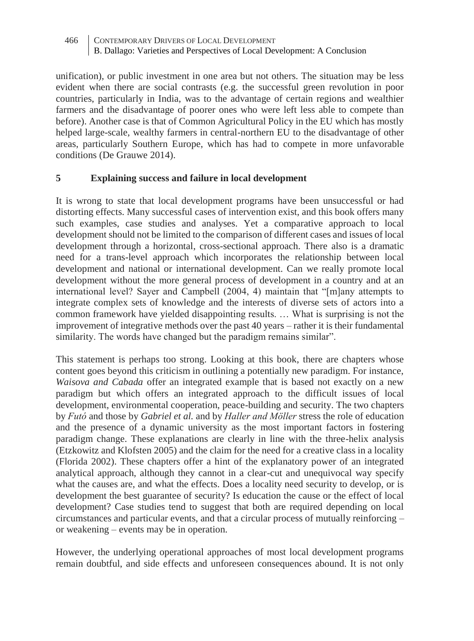unification), or public investment in one area but not others. The situation may be less evident when there are social contrasts (e.g. the successful green revolution in poor countries, particularly in India, was to the advantage of certain regions and wealthier farmers and the disadvantage of poorer ones who were left less able to compete than before). Another case is that of Common Agricultural Policy in the EU which has mostly helped large-scale, wealthy farmers in central-northern EU to the disadvantage of other areas, particularly Southern Europe, which has had to compete in more unfavorable conditions (De Grauwe 2014).

### **5 Explaining success and failure in local development**

It is wrong to state that local development programs have been unsuccessful or had distorting effects. Many successful cases of intervention exist, and this book offers many such examples, case studies and analyses. Yet a comparative approach to local development should not be limited to the comparison of different cases and issues of local development through a horizontal, cross-sectional approach. There also is a dramatic need for a trans-level approach which incorporates the relationship between local development and national or international development. Can we really promote local development without the more general process of development in a country and at an international level? Sayer and Campbell (2004, 4) maintain that "[m]any attempts to integrate complex sets of knowledge and the interests of diverse sets of actors into a common framework have yielded disappointing results. … What is surprising is not the improvement of integrative methods over the past 40 years – rather it is their fundamental similarity. The words have changed but the paradigm remains similar".

This statement is perhaps too strong. Looking at this book, there are chapters whose content goes beyond this criticism in outlining a potentially new paradigm. For instance, *Waisova and Cabada* offer an integrated example that is based not exactly on a new paradigm but which offers an integrated approach to the difficult issues of local development, environmental cooperation, peace-building and security. The two chapters by *Futó* and those by *Gabriel et al.* and by *Haller and Möller* stress the role of education and the presence of a dynamic university as the most important factors in fostering paradigm change. These explanations are clearly in line with the three-helix analysis (Etzkowitz and Klofsten 2005) and the claim for the need for a creative class in a locality (Florida 2002). These chapters offer a hint of the explanatory power of an integrated analytical approach, although they cannot in a clear-cut and unequivocal way specify what the causes are, and what the effects. Does a locality need security to develop, or is development the best guarantee of security? Is education the cause or the effect of local development? Case studies tend to suggest that both are required depending on local circumstances and particular events, and that a circular process of mutually reinforcing – or weakening – events may be in operation.

However, the underlying operational approaches of most local development programs remain doubtful, and side effects and unforeseen consequences abound. It is not only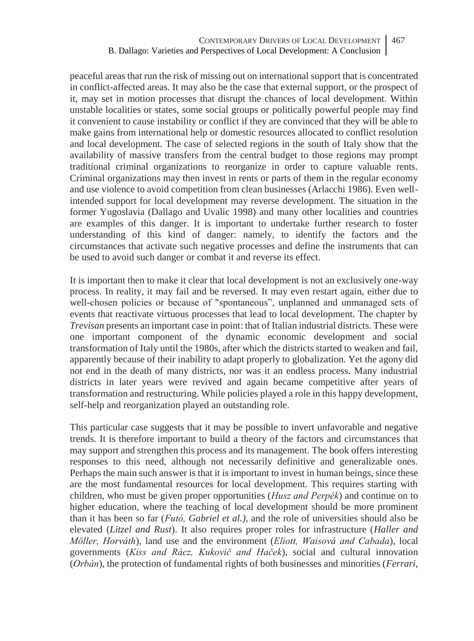peaceful areas that run the risk of missing out on international support that is concentrated in conflict-affected areas. It may also be the case that external support, or the prospect of it, may set in motion processes that disrupt the chances of local development. Within unstable localities or states, some social groups or politically powerful people may find it convenient to cause instability or conflict if they are convinced that they will be able to make gains from international help or domestic resources allocated to conflict resolution and local development. The case of selected regions in the south of Italy show that the availability of massive transfers from the central budget to those regions may prompt traditional criminal organizations to reorganize in order to capture valuable rents. Criminal organizations may then invest in rents or parts of them in the regular economy and use violence to avoid competition from clean businesses (Arlacchi 1986). Even wellintended support for local development may reverse development. The situation in the former Yugoslavia (Dallago and Uvalic 1998) and many other localities and countries are examples of this danger. It is important to undertake further research to foster understanding of this kind of danger: namely, to identify the factors and the circumstances that activate such negative processes and define the instruments that can be used to avoid such danger or combat it and reverse its effect.

It is important then to make it clear that local development is not an exclusively one-way process. In reality, it may fail and be reversed. It may even restart again, either due to well-chosen policies or because of "spontaneous", unplanned and unmanaged sets of events that reactivate virtuous processes that lead to local development. The chapter by *Trevisan* presents an important case in point: that of Italian industrial districts. These were one important component of the dynamic economic development and social transformation of Italy until the 1980s, after which the districts started to weaken and fail, apparently because of their inability to adapt properly to globalization. Yet the agony did not end in the death of many districts, nor was it an endless process. Many industrial districts in later years were revived and again became competitive after years of transformation and restructuring. While policies played a role in this happy development, self-help and reorganization played an outstanding role.

This particular case suggests that it may be possible to invert unfavorable and negative trends. It is therefore important to build a theory of the factors and circumstances that may support and strengthen this process and its management. The book offers interesting responses to this need, although not necessarily definitive and generalizable ones. Perhaps the main such answer is that it is important to invest in human beings, since these are the most fundamental resources for local development. This requires starting with children, who must be given proper opportunities (*Husz and Perpék*) and continue on to higher education, where the teaching of local development should be more prominent than it has been so far (*Futó, Gabriel et al.),* and the role of universities should also be elevated (*Litzel and Rust*). It also requires proper roles for infrastructure (*Haller and Möller, Horváth*), land use and the environment (*Eliott, Waisová and Cabada*), local governments (*Kiss and Rácz, Kukovič and Haček*), social and cultural innovation (*Orbán*), the protection of fundamental rights of both businesses and minorities (*Ferrari,*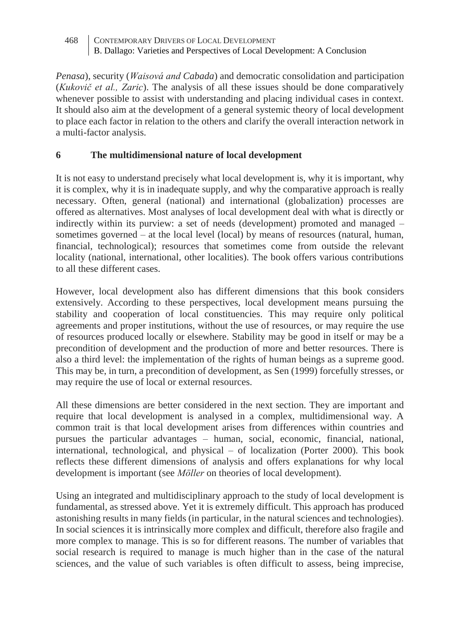*Penasa*), security (*Waisová and Cabada*) and democratic consolidation and participation (*Kukovič et al., Zaric*). The analysis of all these issues should be done comparatively whenever possible to assist with understanding and placing individual cases in context. It should also aim at the development of a general systemic theory of local development to place each factor in relation to the others and clarify the overall interaction network in a multi-factor analysis.

# **6 The multidimensional nature of local development**

It is not easy to understand precisely what local development is, why it is important, why it is complex, why it is in inadequate supply, and why the comparative approach is really necessary. Often, general (national) and international (globalization) processes are offered as alternatives. Most analyses of local development deal with what is directly or indirectly within its purview: a set of needs (development) promoted and managed – sometimes governed – at the local level (local) by means of resources (natural, human, financial, technological); resources that sometimes come from outside the relevant locality (national, international, other localities). The book offers various contributions to all these different cases.

However, local development also has different dimensions that this book considers extensively. According to these perspectives, local development means pursuing the stability and cooperation of local constituencies. This may require only political agreements and proper institutions, without the use of resources, or may require the use of resources produced locally or elsewhere. Stability may be good in itself or may be a precondition of development and the production of more and better resources. There is also a third level: the implementation of the rights of human beings as a supreme good. This may be, in turn, a precondition of development, as Sen (1999) forcefully stresses, or may require the use of local or external resources.

All these dimensions are better considered in the next section. They are important and require that local development is analysed in a complex, multidimensional way. A common trait is that local development arises from differences within countries and pursues the particular advantages – human, social, economic, financial, national, international, technological, and physical – of localization (Porter 2000). This book reflects these different dimensions of analysis and offers explanations for why local development is important (see *Möller* on theories of local development).

Using an integrated and multidisciplinary approach to the study of local development is fundamental, as stressed above. Yet it is extremely difficult. This approach has produced astonishing results in many fields (in particular, in the natural sciences and technologies). In social sciences it is intrinsically more complex and difficult, therefore also fragile and more complex to manage. This is so for different reasons. The number of variables that social research is required to manage is much higher than in the case of the natural sciences, and the value of such variables is often difficult to assess, being imprecise,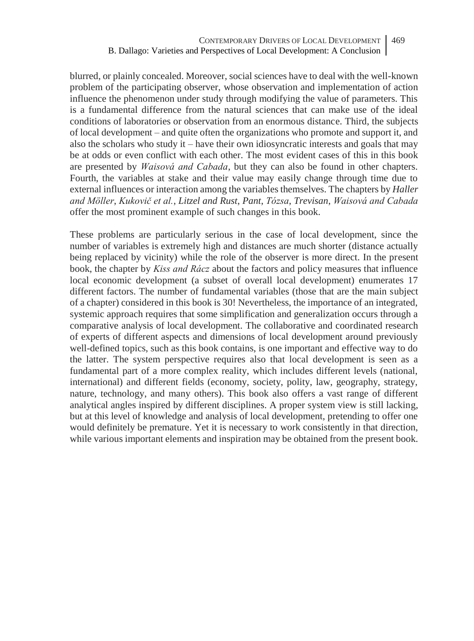blurred, or plainly concealed. Moreover, social sciences have to deal with the well-known problem of the participating observer, whose observation and implementation of action influence the phenomenon under study through modifying the value of parameters. This is a fundamental difference from the natural sciences that can make use of the ideal conditions of laboratories or observation from an enormous distance. Third, the subjects of local development – and quite often the organizations who promote and support it, and also the scholars who study it – have their own idiosyncratic interests and goals that may be at odds or even conflict with each other. The most evident cases of this in this book are presented by *Waisová and Cabada*, but they can also be found in other chapters. Fourth, the variables at stake and their value may easily change through time due to external influences or interaction among the variables themselves. The chapters by *Haller and Möller*, *Kukovič et al.*, *Litzel and Rust*, *Pant*, *Tózsa*, *Trevisan*, *Waisová and Cabada* offer the most prominent example of such changes in this book.

These problems are particularly serious in the case of local development, since the number of variables is extremely high and distances are much shorter (distance actually being replaced by vicinity) while the role of the observer is more direct. In the present book, the chapter by *Kiss and Rácz* about the factors and policy measures that influence local economic development (a subset of overall local development) enumerates 17 different factors. The number of fundamental variables (those that are the main subject of a chapter) considered in this book is 30! Nevertheless, the importance of an integrated, systemic approach requires that some simplification and generalization occurs through a comparative analysis of local development. The collaborative and coordinated research of experts of different aspects and dimensions of local development around previously well-defined topics, such as this book contains, is one important and effective way to do the latter. The system perspective requires also that local development is seen as a fundamental part of a more complex reality, which includes different levels (national, international) and different fields (economy, society, polity, law, geography, strategy, nature, technology, and many others). This book also offers a vast range of different analytical angles inspired by different disciplines. A proper system view is still lacking, but at this level of knowledge and analysis of local development, pretending to offer one would definitely be premature. Yet it is necessary to work consistently in that direction, while various important elements and inspiration may be obtained from the present book.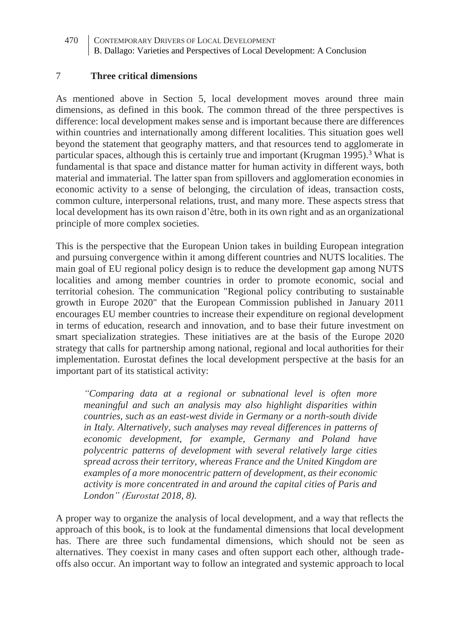#### 7 **Three critical dimensions**

As mentioned above in Section 5, local development moves around three main dimensions, as defined in this book. The common thread of the three perspectives is difference: local development makes sense and is important because there are differences within countries and internationally among different localities. This situation goes well beyond the statement that geography matters, and that resources tend to agglomerate in particular spaces, although this is certainly true and important (Krugman 1995).<sup>3</sup> What is fundamental is that space and distance matter for human activity in different ways, both material and immaterial. The latter span from spillovers and agglomeration economies in economic activity to a sense of belonging, the circulation of ideas, transaction costs, common culture, interpersonal relations, trust, and many more. These aspects stress that local development has its own raison d'être, both in its own right and as an organizational principle of more complex societies.

This is the perspective that the European Union takes in building European integration and pursuing convergence within it among different countries and NUTS localities. The main goal of EU regional policy design is to reduce the development gap among NUTS localities and among member countries in order to promote economic, social and territorial cohesion. The communication "Regional policy contributing to sustainable growth in Europe 2020" that the European Commission published in January 2011 encourages EU member countries to increase their expenditure on regional development in terms of education, research and innovation, and to base their future investment on smart specialization strategies. These initiatives are at the basis of the Europe 2020 strategy that calls for partnership among national, regional and local authorities for their implementation. Eurostat defines the local development perspective at the basis for an important part of its statistical activity:

*"Comparing data at a regional or subnational level is often more meaningful and such an analysis may also highlight disparities within countries, such as an east-west divide in Germany or a north-south divide in Italy. Alternatively, such analyses may reveal differences in patterns of economic development, for example, Germany and Poland have polycentric patterns of development with several relatively large cities spread across their territory, whereas France and the United Kingdom are examples of a more monocentric pattern of development, as their economic activity is more concentrated in and around the capital cities of Paris and London" (Eurostat 2018, 8).*

A proper way to organize the analysis of local development, and a way that reflects the approach of this book, is to look at the fundamental dimensions that local development has. There are three such fundamental dimensions, which should not be seen as alternatives. They coexist in many cases and often support each other, although tradeoffs also occur. An important way to follow an integrated and systemic approach to local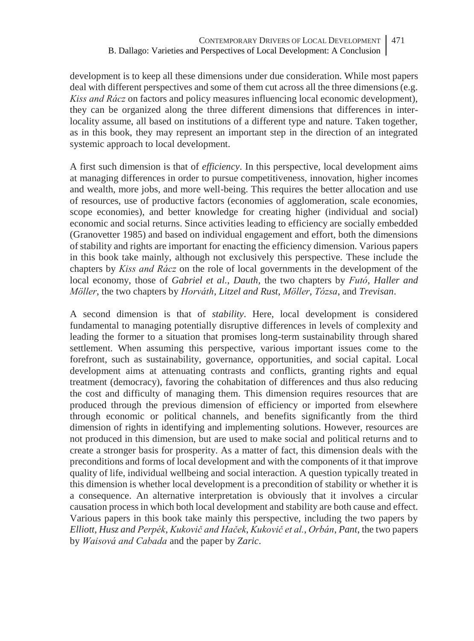development is to keep all these dimensions under due consideration. While most papers deal with different perspectives and some of them cut across all the three dimensions (e.g. *Kiss and Rácz* on factors and policy measures influencing local economic development), they can be organized along the three different dimensions that differences in interlocality assume, all based on institutions of a different type and nature. Taken together, as in this book, they may represent an important step in the direction of an integrated systemic approach to local development.

A first such dimension is that of *efficiency*. In this perspective, local development aims at managing differences in order to pursue competitiveness, innovation, higher incomes and wealth, more jobs, and more well-being. This requires the better allocation and use of resources, use of productive factors (economies of agglomeration, scale economies, scope economies), and better knowledge for creating higher (individual and social) economic and social returns. Since activities leading to efficiency are socially embedded (Granovetter 1985) and based on individual engagement and effort, both the dimensions of stability and rights are important for enacting the efficiency dimension. Various papers in this book take mainly, although not exclusively this perspective. These include the chapters by *Kiss and Rácz* on the role of local governments in the development of the local economy, those of *Gabriel et al.*, *Dauth*, the two chapters by *Futó*, *Haller and Möller*, the two chapters by *Horváth*, *Litzel and Rust*, *Möller*, *Tózsa*, and *Trevisan*.

A second dimension is that of *stability*. Here, local development is considered fundamental to managing potentially disruptive differences in levels of complexity and leading the former to a situation that promises long-term sustainability through shared settlement. When assuming this perspective, various important issues come to the forefront, such as sustainability, governance, opportunities, and social capital. Local development aims at attenuating contrasts and conflicts, granting rights and equal treatment (democracy), favoring the cohabitation of differences and thus also reducing the cost and difficulty of managing them. This dimension requires resources that are produced through the previous dimension of efficiency or imported from elsewhere through economic or political channels, and benefits significantly from the third dimension of rights in identifying and implementing solutions. However, resources are not produced in this dimension, but are used to make social and political returns and to create a stronger basis for prosperity. As a matter of fact, this dimension deals with the preconditions and forms of local development and with the components of it that improve quality of life, individual wellbeing and social interaction. A question typically treated in this dimension is whether local development is a precondition of stability or whether it is a consequence. An alternative interpretation is obviously that it involves a circular causation process in which both local development and stability are both cause and effect. Various papers in this book take mainly this perspective, including the two papers by *Elliott*, *Husz and Perpék*, *Kukovič and Haček*, *Kukovič et al.*, *Orbán*, *Pant*, the two papers by *Waisová and Cabada* and the paper by *Zaric*.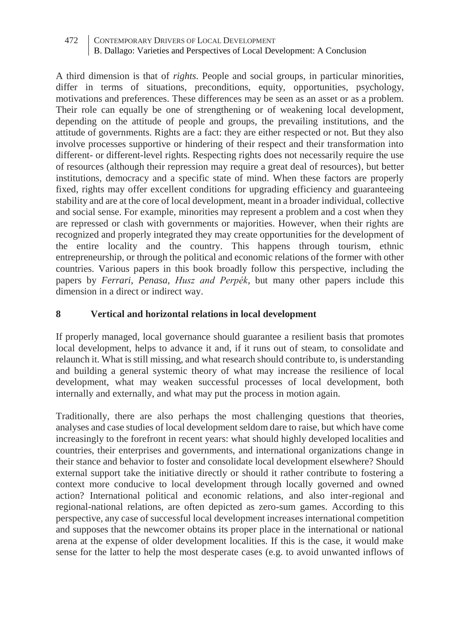A third dimension is that of *rights*. People and social groups, in particular minorities, differ in terms of situations, preconditions, equity, opportunities, psychology, motivations and preferences. These differences may be seen as an asset or as a problem. Their role can equally be one of strengthening or of weakening local development, depending on the attitude of people and groups, the prevailing institutions, and the attitude of governments. Rights are a fact: they are either respected or not. But they also involve processes supportive or hindering of their respect and their transformation into different- or different-level rights. Respecting rights does not necessarily require the use of resources (although their repression may require a great deal of resources), but better institutions, democracy and a specific state of mind. When these factors are properly fixed, rights may offer excellent conditions for upgrading efficiency and guaranteeing stability and are at the core of local development, meant in a broader individual, collective and social sense. For example, minorities may represent a problem and a cost when they are repressed or clash with governments or majorities. However, when their rights are recognized and properly integrated they may create opportunities for the development of the entire locality and the country. This happens through tourism, ethnic entrepreneurship, or through the political and economic relations of the former with other countries. Various papers in this book broadly follow this perspective, including the papers by *Ferrari*, *Penasa*, *Husz and Perpék*, but many other papers include this dimension in a direct or indirect way.

### **8 Vertical and horizontal relations in local development**

If properly managed, local governance should guarantee a resilient basis that promotes local development, helps to advance it and, if it runs out of steam, to consolidate and relaunch it. What is still missing, and what research should contribute to, is understanding and building a general systemic theory of what may increase the resilience of local development, what may weaken successful processes of local development, both internally and externally, and what may put the process in motion again.

Traditionally, there are also perhaps the most challenging questions that theories, analyses and case studies of local development seldom dare to raise, but which have come increasingly to the forefront in recent years: what should highly developed localities and countries, their enterprises and governments, and international organizations change in their stance and behavior to foster and consolidate local development elsewhere? Should external support take the initiative directly or should it rather contribute to fostering a context more conducive to local development through locally governed and owned action? International political and economic relations, and also inter-regional and regional-national relations, are often depicted as zero-sum games. According to this perspective, any case of successful local development increases international competition and supposes that the newcomer obtains its proper place in the international or national arena at the expense of older development localities. If this is the case, it would make sense for the latter to help the most desperate cases (e.g. to avoid unwanted inflows of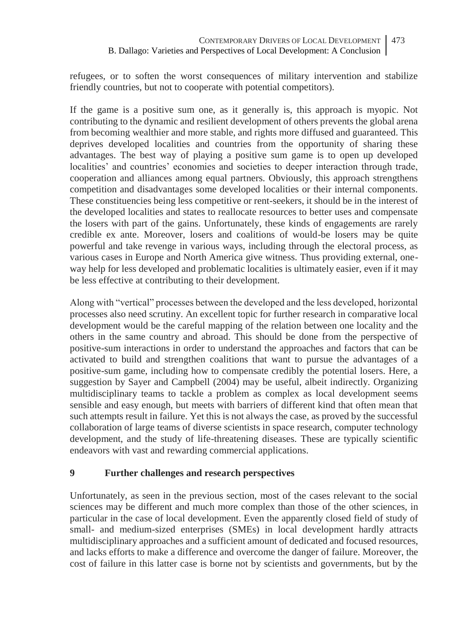refugees, or to soften the worst consequences of military intervention and stabilize friendly countries, but not to cooperate with potential competitors).

If the game is a positive sum one, as it generally is, this approach is myopic. Not contributing to the dynamic and resilient development of others prevents the global arena from becoming wealthier and more stable, and rights more diffused and guaranteed. This deprives developed localities and countries from the opportunity of sharing these advantages. The best way of playing a positive sum game is to open up developed localities' and countries' economies and societies to deeper interaction through trade, cooperation and alliances among equal partners. Obviously, this approach strengthens competition and disadvantages some developed localities or their internal components. These constituencies being less competitive or rent-seekers, it should be in the interest of the developed localities and states to reallocate resources to better uses and compensate the losers with part of the gains. Unfortunately, these kinds of engagements are rarely credible ex ante. Moreover, losers and coalitions of would-be losers may be quite powerful and take revenge in various ways, including through the electoral process, as various cases in Europe and North America give witness. Thus providing external, oneway help for less developed and problematic localities is ultimately easier, even if it may be less effective at contributing to their development.

Along with "vertical" processes between the developed and the less developed, horizontal processes also need scrutiny. An excellent topic for further research in comparative local development would be the careful mapping of the relation between one locality and the others in the same country and abroad. This should be done from the perspective of positive-sum interactions in order to understand the approaches and factors that can be activated to build and strengthen coalitions that want to pursue the advantages of a positive-sum game, including how to compensate credibly the potential losers. Here, a suggestion by Sayer and Campbell (2004) may be useful, albeit indirectly. Organizing multidisciplinary teams to tackle a problem as complex as local development seems sensible and easy enough, but meets with barriers of different kind that often mean that such attempts result in failure. Yet this is not always the case, as proved by the successful collaboration of large teams of diverse scientists in space research, computer technology development, and the study of life-threatening diseases. These are typically scientific endeavors with vast and rewarding commercial applications.

# **9 Further challenges and research perspectives**

Unfortunately, as seen in the previous section, most of the cases relevant to the social sciences may be different and much more complex than those of the other sciences, in particular in the case of local development. Even the apparently closed field of study of small- and medium-sized enterprises (SMEs) in local development hardly attracts multidisciplinary approaches and a sufficient amount of dedicated and focused resources, and lacks efforts to make a difference and overcome the danger of failure. Moreover, the cost of failure in this latter case is borne not by scientists and governments, but by the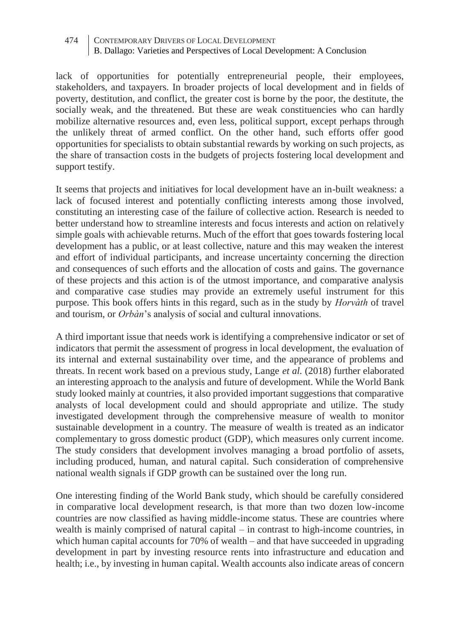lack of opportunities for potentially entrepreneurial people, their employees, stakeholders, and taxpayers. In broader projects of local development and in fields of poverty, destitution, and conflict, the greater cost is borne by the poor, the destitute, the socially weak, and the threatened. But these are weak constituencies who can hardly mobilize alternative resources and, even less, political support, except perhaps through the unlikely threat of armed conflict. On the other hand, such efforts offer good opportunities for specialists to obtain substantial rewards by working on such projects, as the share of transaction costs in the budgets of projects fostering local development and support testify.

It seems that projects and initiatives for local development have an in-built weakness: a lack of focused interest and potentially conflicting interests among those involved, constituting an interesting case of the failure of collective action. Research is needed to better understand how to streamline interests and focus interests and action on relatively simple goals with achievable returns. Much of the effort that goes towards fostering local development has a public, or at least collective, nature and this may weaken the interest and effort of individual participants, and increase uncertainty concerning the direction and consequences of such efforts and the allocation of costs and gains. The governance of these projects and this action is of the utmost importance, and comparative analysis and comparative case studies may provide an extremely useful instrument for this purpose. This book offers hints in this regard, such as in the study by *Horvàth* of travel and tourism, or *Orbàn*'s analysis of social and cultural innovations.

A third important issue that needs work is identifying a comprehensive indicator or set of indicators that permit the assessment of progress in local development, the evaluation of its internal and external sustainability over time, and the appearance of problems and threats. In recent work based on a previous study, Lange *et al.* (2018) further elaborated an interesting approach to the analysis and future of development. While the World Bank study looked mainly at countries, it also provided important suggestions that comparative analysts of local development could and should appropriate and utilize. The study investigated development through the comprehensive measure of wealth to monitor sustainable development in a country. The measure of wealth is treated as an indicator complementary to gross domestic product (GDP), which measures only current income. The study considers that development involves managing a broad portfolio of assets, including produced, human, and natural capital. Such consideration of comprehensive national wealth signals if GDP growth can be sustained over the long run.

One interesting finding of the World Bank study, which should be carefully considered in comparative local development research, is that more than two dozen low-income countries are now classified as having middle-income status. These are countries where wealth is mainly comprised of natural capital – in contrast to high-income countries, in which human capital accounts for 70% of wealth – and that have succeeded in upgrading development in part by investing resource rents into infrastructure and education and health; i.e., by investing in human capital. Wealth accounts also indicate areas of concern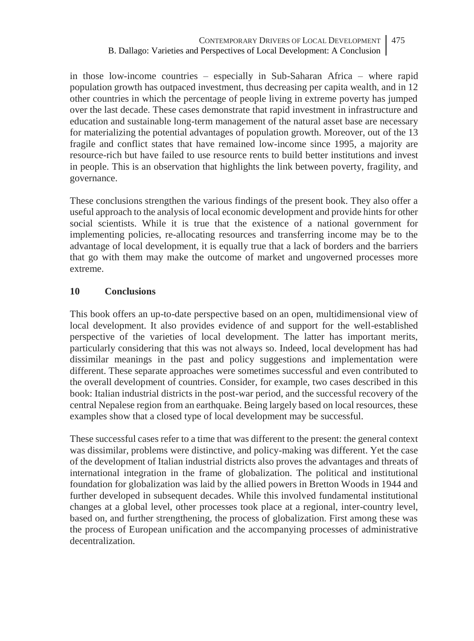in those low-income countries – especially in Sub-Saharan Africa – where rapid population growth has outpaced investment, thus decreasing per capita wealth, and in 12 other countries in which the percentage of people living in extreme poverty has jumped over the last decade. These cases demonstrate that rapid investment in infrastructure and education and sustainable long-term management of the natural asset base are necessary for materializing the potential advantages of population growth. Moreover, out of the 13 fragile and conflict states that have remained low-income since 1995, a majority are resource-rich but have failed to use resource rents to build better institutions and invest in people. This is an observation that highlights the link between poverty, fragility, and governance.

These conclusions strengthen the various findings of the present book. They also offer a useful approach to the analysis of local economic development and provide hints for other social scientists. While it is true that the existence of a national government for implementing policies, re-allocating resources and transferring income may be to the advantage of local development, it is equally true that a lack of borders and the barriers that go with them may make the outcome of market and ungoverned processes more extreme.

### **10 Conclusions**

This book offers an up-to-date perspective based on an open, multidimensional view of local development. It also provides evidence of and support for the well-established perspective of the varieties of local development. The latter has important merits, particularly considering that this was not always so. Indeed, local development has had dissimilar meanings in the past and policy suggestions and implementation were different. These separate approaches were sometimes successful and even contributed to the overall development of countries. Consider, for example, two cases described in this book: Italian industrial districts in the post-war period, and the successful recovery of the central Nepalese region from an earthquake. Being largely based on local resources, these examples show that a closed type of local development may be successful.

These successful cases refer to a time that was different to the present: the general context was dissimilar, problems were distinctive, and policy-making was different. Yet the case of the development of Italian industrial districts also proves the advantages and threats of international integration in the frame of globalization. The political and institutional foundation for globalization was laid by the allied powers in Bretton Woods in 1944 and further developed in subsequent decades. While this involved fundamental institutional changes at a global level, other processes took place at a regional, inter-country level, based on, and further strengthening, the process of globalization. First among these was the process of European unification and the accompanying processes of administrative decentralization.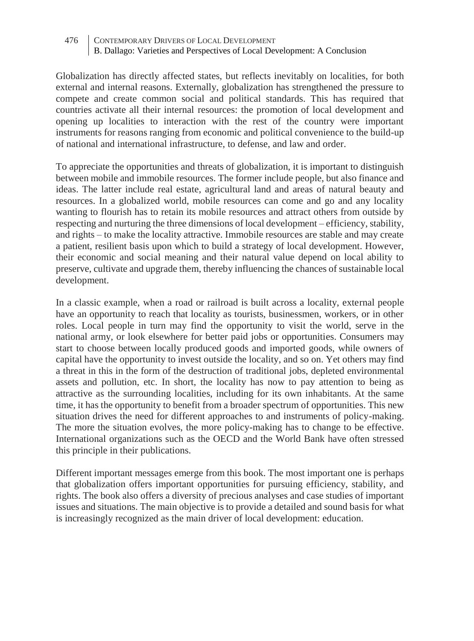Globalization has directly affected states, but reflects inevitably on localities, for both external and internal reasons. Externally, globalization has strengthened the pressure to compete and create common social and political standards. This has required that countries activate all their internal resources: the promotion of local development and opening up localities to interaction with the rest of the country were important instruments for reasons ranging from economic and political convenience to the build-up of national and international infrastructure, to defense, and law and order.

To appreciate the opportunities and threats of globalization, it is important to distinguish between mobile and immobile resources. The former include people, but also finance and ideas. The latter include real estate, agricultural land and areas of natural beauty and resources. In a globalized world, mobile resources can come and go and any locality wanting to flourish has to retain its mobile resources and attract others from outside by respecting and nurturing the three dimensions of local development – efficiency, stability, and rights – to make the locality attractive. Immobile resources are stable and may create a patient, resilient basis upon which to build a strategy of local development. However, their economic and social meaning and their natural value depend on local ability to preserve, cultivate and upgrade them, thereby influencing the chances of sustainable local development.

In a classic example, when a road or railroad is built across a locality, external people have an opportunity to reach that locality as tourists, businessmen, workers, or in other roles. Local people in turn may find the opportunity to visit the world, serve in the national army, or look elsewhere for better paid jobs or opportunities. Consumers may start to choose between locally produced goods and imported goods, while owners of capital have the opportunity to invest outside the locality, and so on. Yet others may find a threat in this in the form of the destruction of traditional jobs, depleted environmental assets and pollution, etc. In short, the locality has now to pay attention to being as attractive as the surrounding localities, including for its own inhabitants. At the same time, it has the opportunity to benefit from a broader spectrum of opportunities. This new situation drives the need for different approaches to and instruments of policy-making. The more the situation evolves, the more policy-making has to change to be effective. International organizations such as the OECD and the World Bank have often stressed this principle in their publications.

Different important messages emerge from this book. The most important one is perhaps that globalization offers important opportunities for pursuing efficiency, stability, and rights. The book also offers a diversity of precious analyses and case studies of important issues and situations. The main objective is to provide a detailed and sound basis for what is increasingly recognized as the main driver of local development: education.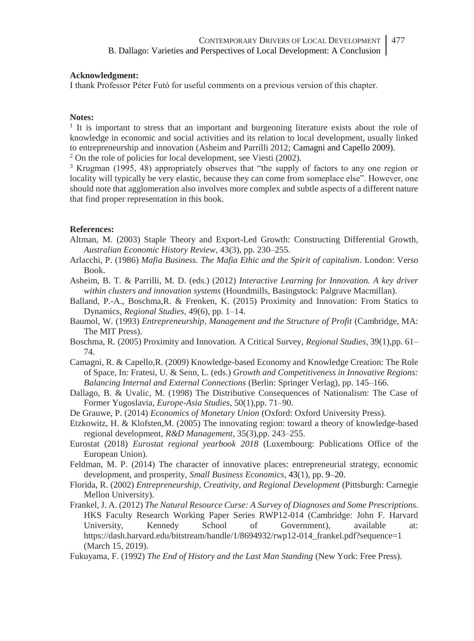#### **Acknowledgment:**

I thank Professor Péter Futó for useful comments on a previous version of this chapter.

#### **Notes:**

1 It is important to stress that an important and burgeoning literature exists about the role of knowledge in economic and social activities and its relation to local development, usually linked to entrepreneurship and innovation (Asheim and Parrilli 2012; Camagni and Capello 2009).

 $2$  On the role of policies for local development, see Viesti (2002).

<sup>3</sup> Krugman (1995, 48) appropriately observes that "the supply of factors to any one region or locality will typically be very elastic, because they can come from someplace else". However, one should note that agglomeration also involves more complex and subtle aspects of a different nature that find proper representation in this book.

#### **References:**

- Altman, M. (2003) Staple Theory and Export-Led Growth: Constructing Differential Growth, *Australian Economic History Review,* 43(3), pp. 230–255.
- Arlacchi, P. (1986) *Mafia Business. The Mafia Ethic and the Spirit of capitalism*. London: Verso Book.
- Asheim, B. T. & Parrilli, M. D. (eds.) (2012) *Interactive Learning for Innovation. A key driver within clusters and innovation systems* (Houndmills, Basingstock: Palgrave Macmillan).
- Balland, P.-A., Boschma,R. & Frenken, K. (2015) Proximity and Innovation: From Statics to Dynamics, *Regional Studies,* 49(6), pp. 1–14.
- Baumol, W. (1993) *Entrepreneurship, Management and the Structure of Profit* (Cambridge, MA: The MIT Press).
- Boschma, R. (2005) Proximity and Innovation. A Critical Survey, *Regional Studies,* 39(1),pp. 61– 74.
- Camagni, R. & Capello,R. (2009) Knowledge-based Economy and Knowledge Creation: The Role of Space, In: Fratesi, U. & Senn, L. (eds.) *Growth and Competitiveness in Innovative Regions: Balancing Internal and External Connections* (Berlin: Springer Verlag), pp. 145–166.
- Dallago, B. & Uvalic, M. (1998) The Distributive Consequences of Nationalism: The Case of Former Yugoslavia, *Europe-Asia Studies,* 50(1),pp. 71–90.
- De Grauwe, P. (2014) *Economics of Monetary Union* (Oxford: Oxford University Press).
- Etzkowitz, H. & Klofsten,M. (2005) The innovating region: toward a theory of knowledge-based regional development, *R&D Management,* 35(3),pp. 243–255.
- Eurostat (2018) *Eurostat regional yearbook 2018* (Luxembourg: Publications Office of the European Union).
- Feldman, M. P. (2014) The character of innovative places: entrepreneurial strategy, economic development, and prosperity, *Small Business Economics,* 43(1), pp. 9–20.
- Florida, R. (2002) *Entrepreneurship, Creativity, and Regional Development* (Pittsburgh: Carnegie Mellon University).
- Frankel, J. A. (2012) *The Natural Resource Curse: A Survey of Diagnoses and Some Prescriptions*. HKS Faculty Research Working Paper Series RWP12-014 (Cambridge: John F. Harvard University, Kennedy School of Government), available at: https://dash.harvard.edu/bitstream/handle/1/8694932/rwp12-014\_frankel.pdf?sequence=1 (March 15, 2019).

Fukuyama, F. (1992) *The End of History and the Last Man Standing* (New York: Free Press).